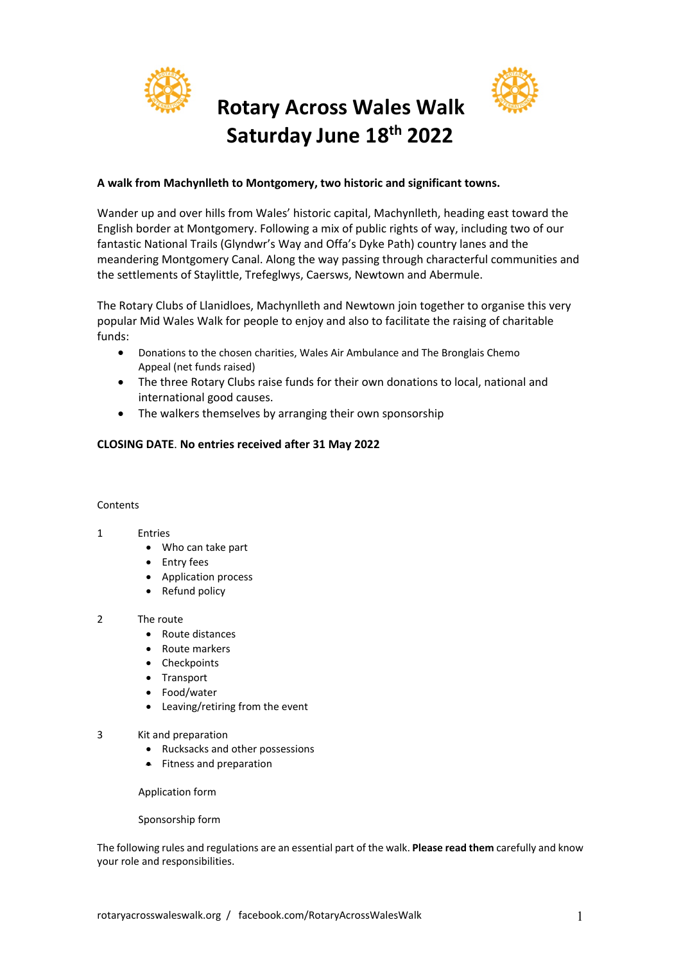

# **Rotary Across Wales Walk Saturday June 18th 2022**



# **A walk from Machynlleth to Montgomery, two historic and significant towns.**

Wander up and over hills from Wales' historic capital, Machynlleth, heading east toward the English border at Montgomery. Following a mix of public rights of way, including two of our fantastic National Trails (Glyndwr's Way and Offa's Dyke Path) country lanes and the meandering Montgomery Canal. Along the way passing through characterful communities and the settlements of Staylittle, Trefeglwys, Caersws, Newtown and Abermule.

The Rotary Clubs of Llanidloes, Machynlleth and Newtown join together to organise this very popular Mid Wales Walk for people to enjoy and also to facilitate the raising of charitable funds:

- Donations to the chosen charities, Wales Air Ambulance and The Bronglais Chemo Appeal (net funds raised)
- The three Rotary Clubs raise funds for their own donations to local, national and international good causes.
- The walkers themselves by arranging their own sponsorship

# **CLOSING DATE**. **No entries received after 31 May 2022**

#### Contents

#### 1 Entries

- Who can take part
- Entry fees
- Application process
- Refund policy

# 2 The route

- Route distances
- Route markers
- Checkpoints
- Transport
- Food/water
- Leaving/retiring from the event
- 3 Kit and preparation
	- Rucksacks and other possessions
	- Fitness and preparation

#### Application form

#### Sponsorship form

The following rules and regulations are an essential part of the walk. **Please read them** carefully and know your role and responsibilities.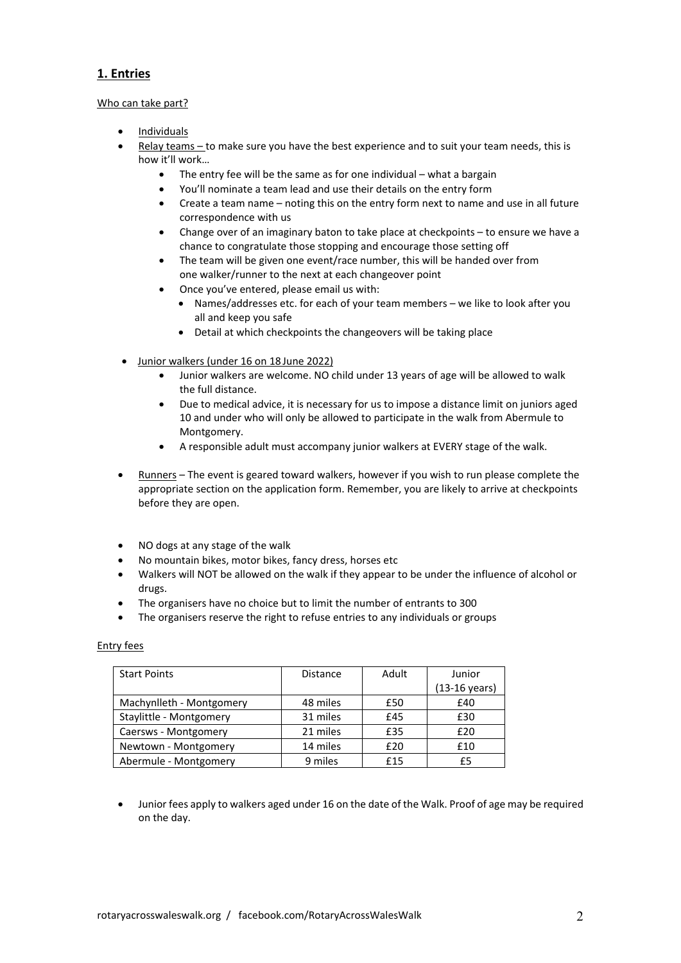# **1. Entries**

#### Who can take part?

- Individuals
- Relay teams to make sure you have the best experience and to suit your team needs, this is how it'll work…
	- The entry fee will be the same as for one individual what a bargain
	- You'll nominate a team lead and use their details on the entry form
	- Create a team name noting this on the entry form next to name and use in all future correspondence with us
	- Change over of an imaginary baton to take place at checkpoints to ensure we have a chance to congratulate those stopping and encourage those setting off
	- The team will be given one event/race number, this will be handed over from one walker/runner to the next at each changeover point
	- Once you've entered, please email us with:
		- Names/addresses etc. for each of your team members we like to look after you all and keep you safe
		- Detail at which checkpoints the changeovers will be taking place
- Junior walkers (under 16 on 18 June 2022)
	- Junior walkers are welcome. NO child under 13 years of age will be allowed to walk the full distance.
	- Due to medical advice, it is necessary for us to impose a distance limit on juniors aged 10 and under who will only be allowed to participate in the walk from Abermule to Montgomery.
	- A responsible adult must accompany junior walkers at EVERY stage of the walk.
- Runners The event is geared toward walkers, however if you wish to run please complete the appropriate section on the application form. Remember, you are likely to arrive at checkpoints before they are open.
- NO dogs at any stage of the walk
- No mountain bikes, motor bikes, fancy dress, horses etc
- Walkers will NOT be allowed on the walk if they appear to be under the influence of alcohol or drugs.
- The organisers have no choice but to limit the number of entrants to 300
- The organisers reserve the right to refuse entries to any individuals or groups

#### Entry fees

| <b>Start Points</b>      | <b>Distance</b> | Adult | Junior                  |
|--------------------------|-----------------|-------|-------------------------|
|                          |                 |       | $(13-16 \text{ years})$ |
| Machynlleth - Montgomery | 48 miles        | £50   | £40                     |
| Staylittle - Montgomery  | 31 miles        | £45   | £30                     |
| Caersws - Montgomery     | 21 miles        | £35   | £20                     |
| Newtown - Montgomery     | 14 miles        | £20   | £10                     |
| Abermule - Montgomery    | 9 miles         | £15   | £5                      |

• Junior fees apply to walkers aged under 16 on the date of the Walk. Proof of age may be required on the day.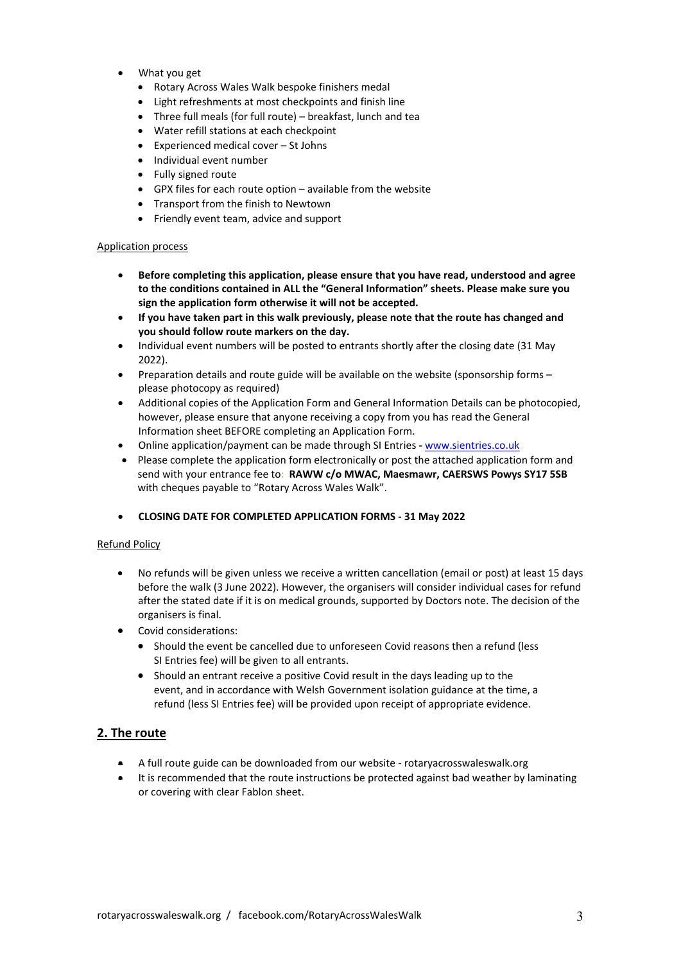- What you get
	- Rotary Across Wales Walk bespoke finishers medal
	- Light refreshments at most checkpoints and finish line
	- Three full meals (for full route) breakfast, lunch and tea
	- Water refill stations at each checkpoint
	- Experienced medical cover St Johns
	- Individual event number
	- Fully signed route
	- GPX files for each route option available from the website
	- Transport from the finish to Newtown
	- Friendly event team, advice and support

#### Application process

- **Before completing this application, please ensure that you have read, understood and agree to the conditions contained in ALL the "General Information" sheets. Please make sure you sign the application form otherwise it will not be accepted.**
- **If you have taken part in this walk previously, please note that the route has changed and you should follow route markers on the day.**
- Individual event numbers will be posted to entrants shortly after the closing date (31 May 2022).
- Preparation details and route guide will be available on the website (sponsorship forms please photocopy as required)
- Additional copies of the Application Form and General Information Details can be photocopied, however, please ensure that anyone receiving a copy from you has read the General Information sheet BEFORE completing an Application Form.
- Online application/payment can be made through SI Entries **-** www.sientries.co.uk
- Please complete the application form electronically or post the attached application form and send with your entrance fee to: **RAWW c/o MWAC, Maesmawr, CAERSWS Powys SY17 5SB** with cheques payable to "Rotary Across Wales Walk".
- **CLOSING DATE FOR COMPLETED APPLICATION FORMS - 31 May 2022**

#### Refund Policy

- No refunds will be given unless we receive a written cancellation (email or post) at least 15 days before the walk (3 June 2022). However, the organisers will consider individual cases for refund after the stated date if it is on medical grounds, supported by Doctors note. The decision of the organisers is final.
- Covid considerations:
	- Should the event be cancelled due to unforeseen Covid reasons then a refund (less SI Entries fee) will be given to all entrants.
	- Should an entrant receive a positive Covid result in the days leading up to the event, and in accordance with Welsh Government isolation guidance at the time, a refund (less SI Entries fee) will be provided upon receipt of appropriate evidence.

# **2. The route**

- A full route guide can be downloaded from our website rotaryacrosswaleswalk.org
- It is recommended that the route instructions be protected against bad weather by laminating or covering with clear Fablon sheet.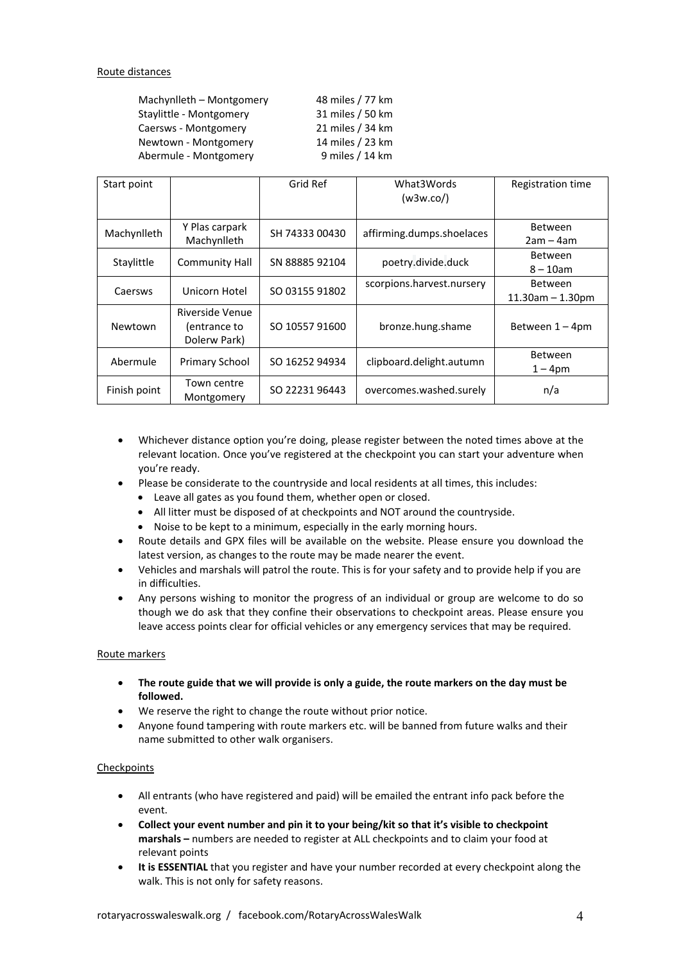| Machynlleth - Montgomery | 48 miles / 77 km |
|--------------------------|------------------|
| Staylittle - Montgomery  | 31 miles / 50 km |
| Caersws - Montgomery     | 21 miles / 34 km |
| Newtown - Montgomery     | 14 miles / 23 km |
| Abermule - Montgomery    | 9 miles / 14 km  |

| Start point  |                                                 | Grid Ref       | What3Words<br>(w3w.co)    | Registration time                       |
|--------------|-------------------------------------------------|----------------|---------------------------|-----------------------------------------|
| Machynlleth  | Y Plas carpark<br>Machynlleth                   | SH 74333 00430 | affirming.dumps.shoelaces | <b>Between</b><br>$2am - 4am$           |
| Staylittle   | <b>Community Hall</b>                           | SN 88885 92104 | poetry.divide.duck        | <b>Between</b><br>$8 - 10$ am           |
| Caersws      | Unicorn Hotel                                   | SO 03155 91802 | scorpions.harvest.nursery | <b>Between</b><br>$11.30$ am $-1.30$ pm |
| Newtown      | Riverside Venue<br>(entrance to<br>Dolerw Park) | SO 10557 91600 | bronze.hung.shame         | Between $1 - 4$ pm                      |
| Abermule     | Primary School                                  | SO 16252 94934 | clipboard.delight.autumn  | <b>Between</b><br>$1 - 4pm$             |
| Finish point | Town centre<br>Montgomery                       | SO 22231 96443 | overcomes.washed.surely   | n/a                                     |

- Whichever distance option you're doing, please register between the noted times above at the relevant location. Once you've registered at the checkpoint you can start your adventure when you're ready.
- Please be considerate to the countryside and local residents at all times, this includes:
	- Leave all gates as you found them, whether open or closed.
	- All litter must be disposed of at checkpoints and NOT around the countryside.
	- Noise to be kept to a minimum, especially in the early morning hours.
- Route details and GPX files will be available on the website. Please ensure you download the latest version, as changes to the route may be made nearer the event.
- Vehicles and marshals will patrol the route. This is for your safety and to provide help if you are in difficulties.
- Any persons wishing to monitor the progress of an individual or group are welcome to do so though we do ask that they confine their observations to checkpoint areas. Please ensure you leave access points clear for official vehicles or any emergency services that may be required.

#### Route markers

- **The route guide that we will provide is only a guide, the route markers on the day must be followed.**
- We reserve the right to change the route without prior notice.
- Anyone found tampering with route markers etc. will be banned from future walks and their name submitted to other walk organisers.

#### **Checkpoints**

- All entrants (who have registered and paid) will be emailed the entrant info pack before the event.
- **Collect your event number and pin it to your being/kit so that it's visible to checkpoint marshals –** numbers are needed to register at ALL checkpoints and to claim your food at relevant points
- **It is ESSENTIAL** that you register and have your number recorded at every checkpoint along the walk. This is not only for safety reasons.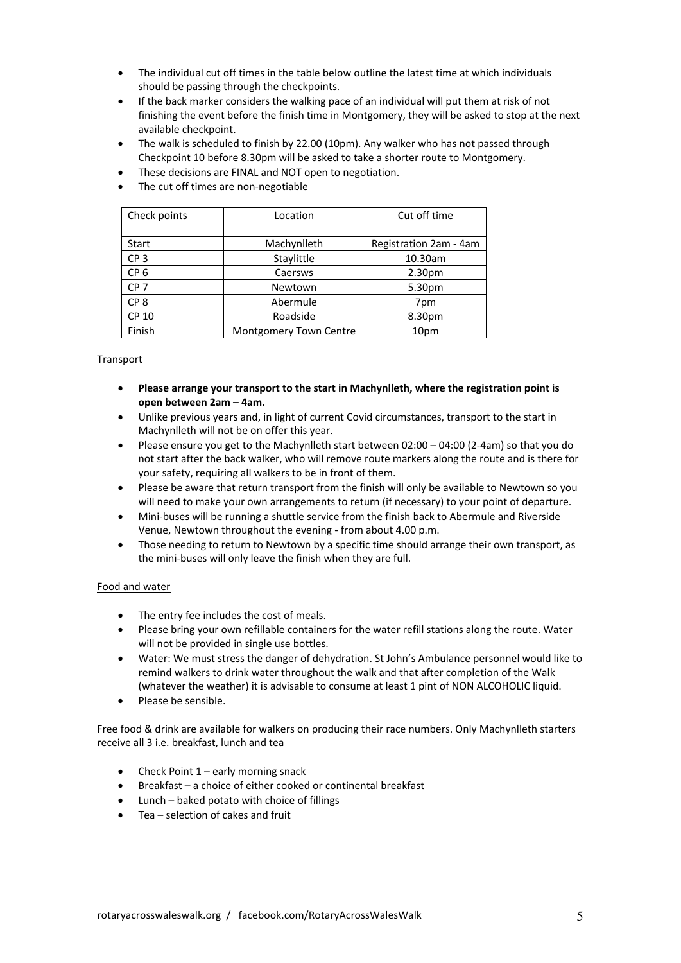- The individual cut off times in the table below outline the latest time at which individuals should be passing through the checkpoints.
- If the back marker considers the walking pace of an individual will put them at risk of not finishing the event before the finish time in Montgomery, they will be asked to stop at the next available checkpoint.
- The walk is scheduled to finish by 22.00 (10pm). Any walker who has not passed through Checkpoint 10 before 8.30pm will be asked to take a shorter route to Montgomery.
- These decisions are FINAL and NOT open to negotiation.
- The cut off times are non-negotiable

| Check points    | Location               | Cut off time           |
|-----------------|------------------------|------------------------|
|                 |                        |                        |
| Start           | Machynlleth            | Registration 2am - 4am |
| CP <sub>3</sub> | Staylittle             | 10.30am                |
| CP <sub>6</sub> | Caersws                | 2.30 <sub>pm</sub>     |
| CP <sub>7</sub> | Newtown                | 5.30pm                 |
| CP <sub>8</sub> | Abermule               | 7pm                    |
| <b>CP 10</b>    | Roadside               | 8.30pm                 |
| Finish          | Montgomery Town Centre | 10pm                   |

### Transport

- **Please arrange your transport to the start in Machynlleth, where the registration point is open between 2am – 4am.**
- Unlike previous years and, in light of current Covid circumstances, transport to the start in Machynlleth will not be on offer this year.
- Please ensure you get to the Machynlleth start between 02:00 04:00 (2-4am) so that you do not start after the back walker, who will remove route markers along the route and is there for your safety, requiring all walkers to be in front of them.
- Please be aware that return transport from the finish will only be available to Newtown so you will need to make your own arrangements to return (if necessary) to your point of departure.
- Mini-buses will be running a shuttle service from the finish back to Abermule and Riverside Venue, Newtown throughout the evening - from about 4.00 p.m.
- Those needing to return to Newtown by a specific time should arrange their own transport, as the mini-buses will only leave the finish when they are full.

#### Food and water

- The entry fee includes the cost of meals.
- Please bring your own refillable containers for the water refill stations along the route. Water will not be provided in single use bottles.
- Water: We must stress the danger of dehydration. St John's Ambulance personnel would like to remind walkers to drink water throughout the walk and that after completion of the Walk (whatever the weather) it is advisable to consume at least 1 pint of NON ALCOHOLIC liquid.
- Please be sensible.

Free food & drink are available for walkers on producing their race numbers. Only Machynlleth starters receive all 3 i.e. breakfast, lunch and tea

- Check Point  $1$  early morning snack
- Breakfast a choice of either cooked or continental breakfast
- Lunch baked potato with choice of fillings
- Tea selection of cakes and fruit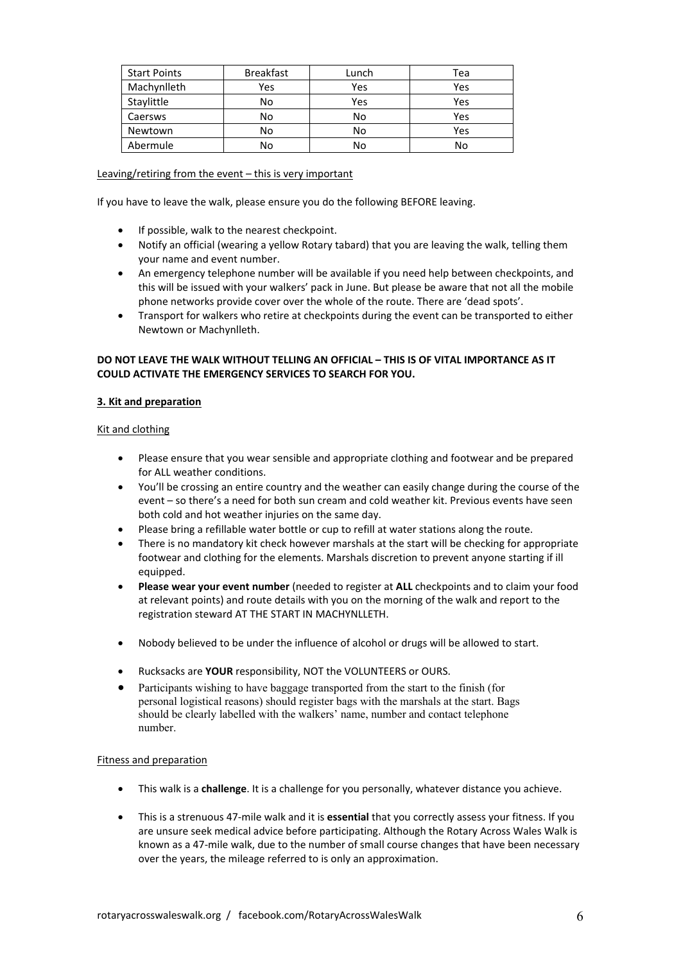| <b>Start Points</b> | <b>Breakfast</b> | Lunch | Tea |
|---------------------|------------------|-------|-----|
| Machynlleth         | Yes              | Yes   | Yes |
| Staylittle          | No               | Yes   | Yes |
| Caersws             | No               | No    | Yes |
| Newtown             | No               | No    | Yes |
| Abermule            | No               | No    | No  |

#### Leaving/retiring from the event – this is very important

If you have to leave the walk, please ensure you do the following BEFORE leaving.

- If possible, walk to the nearest checkpoint.
- Notify an official (wearing a yellow Rotary tabard) that you are leaving the walk, telling them your name and event number.
- An emergency telephone number will be available if you need help between checkpoints, and this will be issued with your walkers' pack in June. But please be aware that not all the mobile phone networks provide cover over the whole of the route. There are 'dead spots'.
- Transport for walkers who retire at checkpoints during the event can be transported to either Newtown or Machynlleth.

#### **DO NOT LEAVE THE WALK WITHOUT TELLING AN OFFICIAL – THIS IS OF VITAL IMPORTANCE AS IT COULD ACTIVATE THE EMERGENCY SERVICES TO SEARCH FOR YOU.**

#### **3. Kit and preparation**

#### Kit and clothing

- Please ensure that you wear sensible and appropriate clothing and footwear and be prepared for ALL weather conditions.
- You'll be crossing an entire country and the weather can easily change during the course of the event – so there's a need for both sun cream and cold weather kit. Previous events have seen both cold and hot weather injuries on the same day.
- Please bring a refillable water bottle or cup to refill at water stations along the route.
- There is no mandatory kit check however marshals at the start will be checking for appropriate footwear and clothing for the elements. Marshals discretion to prevent anyone starting if ill equipped.
- **Please wear your event number** (needed to register at **ALL** checkpoints and to claim your food at relevant points) and route details with you on the morning of the walk and report to the registration steward AT THE START IN MACHYNLLETH.
- Nobody believed to be under the influence of alcohol or drugs will be allowed to start.
- Rucksacks are **YOUR** responsibility, NOT the VOLUNTEERS or OURS.
- Participants wishing to have baggage transported from the start to the finish (for personal logistical reasons) should register bags with the marshals at the start. Bags should be clearly labelled with the walkers' name, number and contact telephone number.

#### Fitness and preparation

- This walk is a **challenge**. It is a challenge for you personally, whatever distance you achieve.
- This is a strenuous 47-mile walk and it is **essential** that you correctly assess your fitness. If you are unsure seek medical advice before participating. Although the Rotary Across Wales Walk is known as a 47-mile walk, due to the number of small course changes that have been necessary over the years, the mileage referred to is only an approximation.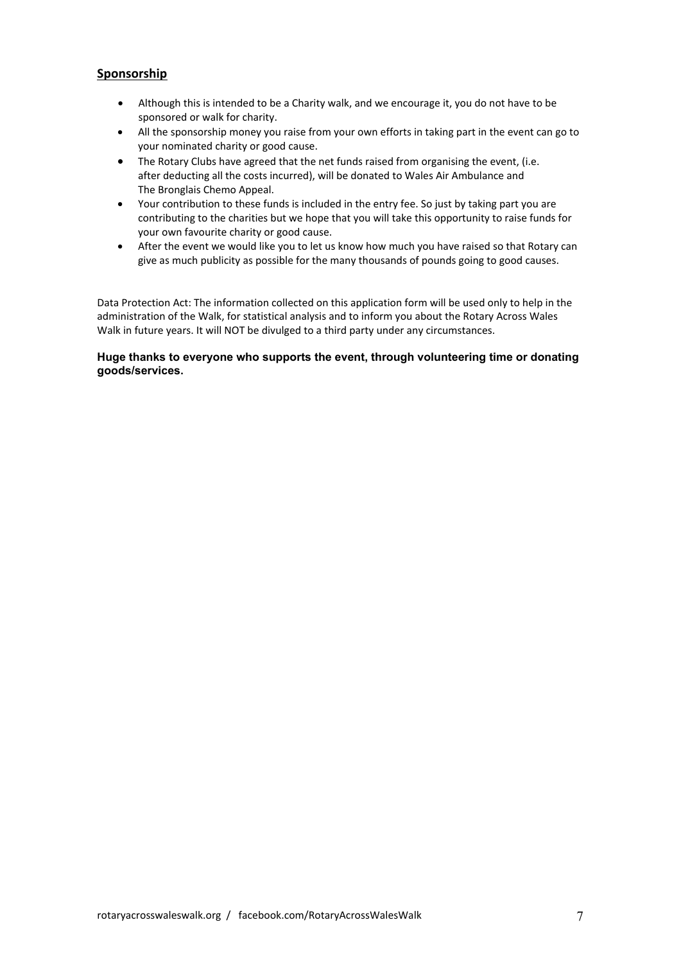# **Sponsorship**

- Although this is intended to be a Charity walk, and we encourage it, you do not have to be sponsored or walk for charity.
- All the sponsorship money you raise from your own efforts in taking part in the event can go to your nominated charity or good cause.
- The Rotary Clubs have agreed that the net funds raised from organising the event, (i.e. after deducting all the costs incurred), will be donated to Wales Air Ambulance and The Bronglais Chemo Appeal.
- Your contribution to these funds is included in the entry fee. So just by taking part you are contributing to the charities but we hope that you will take this opportunity to raise funds for your own favourite charity or good cause.
- After the event we would like you to let us know how much you have raised so that Rotary can give as much publicity as possible for the many thousands of pounds going to good causes.

Data Protection Act: The information collected on this application form will be used only to help in the administration of the Walk, for statistical analysis and to inform you about the Rotary Across Wales Walk in future years. It will NOT be divulged to a third party under any circumstances.

#### **Huge thanks to everyone who supports the event, through volunteering time or donating goods/services.**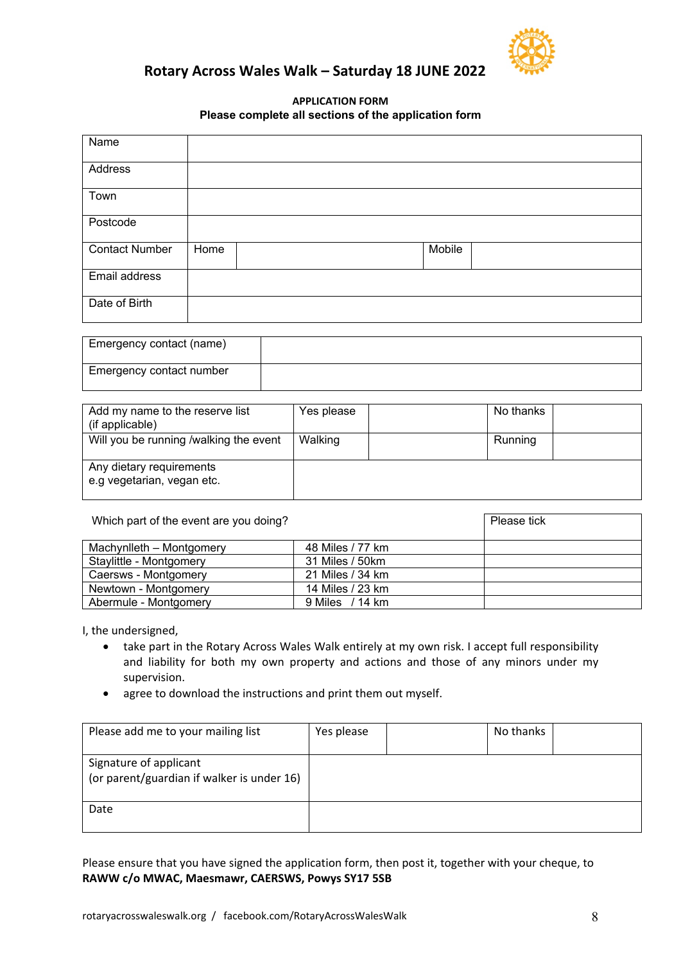

# **Rotary Across Wales Walk – Saturday 18 JUNE 2022**

# **APPLICATION FORM Please complete all sections of the application form**

| Name                  |      |  |        |  |  |
|-----------------------|------|--|--------|--|--|
| Address               |      |  |        |  |  |
| Town                  |      |  |        |  |  |
| Postcode              |      |  |        |  |  |
| <b>Contact Number</b> | Home |  | Mobile |  |  |
| Email address         |      |  |        |  |  |
| Date of Birth         |      |  |        |  |  |

| Emergency contact (name) |  |
|--------------------------|--|
| Emergency contact number |  |

| Add my name to the reserve list<br>(if applicable)     | Yes please | No thanks |  |
|--------------------------------------------------------|------------|-----------|--|
| Will you be running /walking the event                 | Walking    | Running   |  |
| Any dietary requirements<br>e.g vegetarian, vegan etc. |            |           |  |

| Which part of the event are you doing? |                  | Please tick |
|----------------------------------------|------------------|-------------|
| Machynlleth - Montgomery               | 48 Miles / 77 km |             |
| Staylittle - Montgomery                | 31 Miles / 50km  |             |
| Caersws - Montgomery                   | 21 Miles / 34 km |             |
| Newtown - Montgomery                   | 14 Miles / 23 km |             |
| Abermule - Montgomery                  | 9 Miles / 14 km  |             |

I, the undersigned,

- take part in the Rotary Across Wales Walk entirely at my own risk. I accept full responsibility and liability for both my own property and actions and those of any minors under my supervision.
- agree to download the instructions and print them out myself.

| Please add me to your mailing list                                   | Yes please | No thanks |  |
|----------------------------------------------------------------------|------------|-----------|--|
| Signature of applicant<br>(or parent/guardian if walker is under 16) |            |           |  |
| Date                                                                 |            |           |  |

Please ensure that you have signed the application form, then post it, together with your cheque, to **RAWW c/o MWAC, Maesmawr, CAERSWS, Powys SY17 5SB**